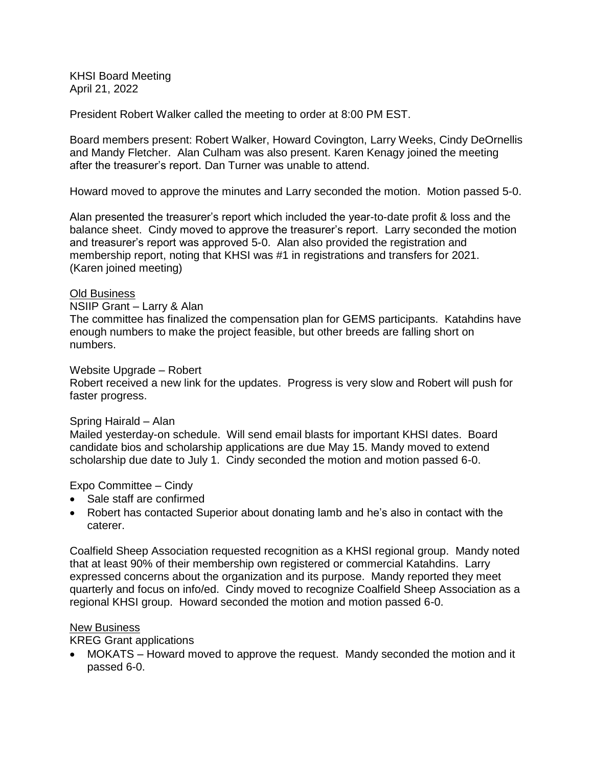KHSI Board Meeting April 21, 2022

President Robert Walker called the meeting to order at 8:00 PM EST.

Board members present: Robert Walker, Howard Covington, Larry Weeks, Cindy DeOrnellis and Mandy Fletcher. Alan Culham was also present. Karen Kenagy joined the meeting after the treasurer's report. Dan Turner was unable to attend.

Howard moved to approve the minutes and Larry seconded the motion. Motion passed 5-0.

Alan presented the treasurer's report which included the year-to-date profit & loss and the balance sheet. Cindy moved to approve the treasurer's report. Larry seconded the motion and treasurer's report was approved 5-0. Alan also provided the registration and membership report, noting that KHSI was #1 in registrations and transfers for 2021. (Karen joined meeting)

## Old Business

NSIIP Grant – Larry & Alan

The committee has finalized the compensation plan for GEMS participants. Katahdins have enough numbers to make the project feasible, but other breeds are falling short on numbers.

## Website Upgrade – Robert

Robert received a new link for the updates. Progress is very slow and Robert will push for faster progress.

## Spring Hairald – Alan

Mailed yesterday-on schedule. Will send email blasts for important KHSI dates. Board candidate bios and scholarship applications are due May 15. Mandy moved to extend scholarship due date to July 1. Cindy seconded the motion and motion passed 6-0.

Expo Committee – Cindy

- Sale staff are confirmed
- Robert has contacted Superior about donating lamb and he's also in contact with the caterer.

Coalfield Sheep Association requested recognition as a KHSI regional group. Mandy noted that at least 90% of their membership own registered or commercial Katahdins. Larry expressed concerns about the organization and its purpose. Mandy reported they meet quarterly and focus on info/ed. Cindy moved to recognize Coalfield Sheep Association as a regional KHSI group. Howard seconded the motion and motion passed 6-0.

## **New Business**

KREG Grant applications

 MOKATS – Howard moved to approve the request. Mandy seconded the motion and it passed 6-0.